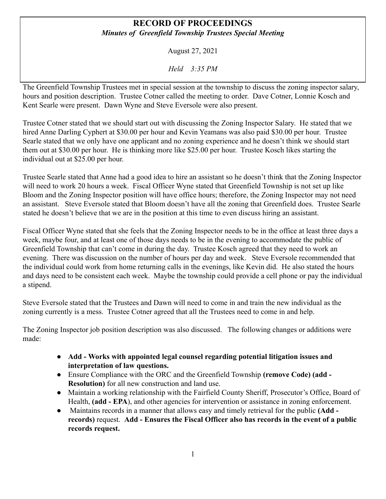## **RECORD OF PROCEEDINGS** *Minutes of Greenfield Township Trustees Special Meeting*

August 27, 2021

*Held 3:35 PM*

The Greenfield Township Trustees met in special session at the township to discuss the zoning inspector salary, hours and position description. Trustee Cotner called the meeting to order. Dave Cotner, Lonnie Kosch and Kent Searle were present. Dawn Wyne and Steve Eversole were also present.

Trustee Cotner stated that we should start out with discussing the Zoning Inspector Salary. He stated that we hired Anne Darling Cyphert at \$30.00 per hour and Kevin Yeamans was also paid \$30.00 per hour. Trustee Searle stated that we only have one applicant and no zoning experience and he doesn't think we should start them out at \$30.00 per hour. He is thinking more like \$25.00 per hour. Trustee Kosch likes starting the individual out at \$25.00 per hour.

Trustee Searle stated that Anne had a good idea to hire an assistant so he doesn't think that the Zoning Inspector will need to work 20 hours a week. Fiscal Officer Wyne stated that Greenfield Township is not set up like Bloom and the Zoning Inspector position will have office hours; therefore, the Zoning Inspector may not need an assistant. Steve Eversole stated that Bloom doesn't have all the zoning that Greenfield does. Trustee Searle stated he doesn't believe that we are in the position at this time to even discuss hiring an assistant.

Fiscal Officer Wyne stated that she feels that the Zoning Inspector needs to be in the office at least three days a week, maybe four, and at least one of those days needs to be in the evening to accommodate the public of Greenfield Township that can't come in during the day. Trustee Kosch agreed that they need to work an evening. There was discussion on the number of hours per day and week. Steve Eversole recommended that the individual could work from home returning calls in the evenings, like Kevin did. He also stated the hours and days need to be consistent each week. Maybe the township could provide a cell phone or pay the individual a stipend.

Steve Eversole stated that the Trustees and Dawn will need to come in and train the new individual as the zoning currently is a mess. Trustee Cotner agreed that all the Trustees need to come in and help.

The Zoning Inspector job position description was also discussed. The following changes or additions were made:

- **Add - Works with appointed legal counsel regarding potential litigation issues and interpretation of law questions.**
- Ensure Compliance with the ORC and the Greenfield Township **(remove Code) (add - Resolution)** for all new construction and land use.
- Maintain a working relationship with the Fairfield County Sheriff, Prosecutor's Office, Board of Health, (add - EPA), and other agencies for intervention or assistance in zoning enforcement.
- Maintains records in a manner that allows easy and timely retrieval for the public **(Add records)** request. **Add - Ensures the Fiscal Officer also has records in the event of a public records request.**